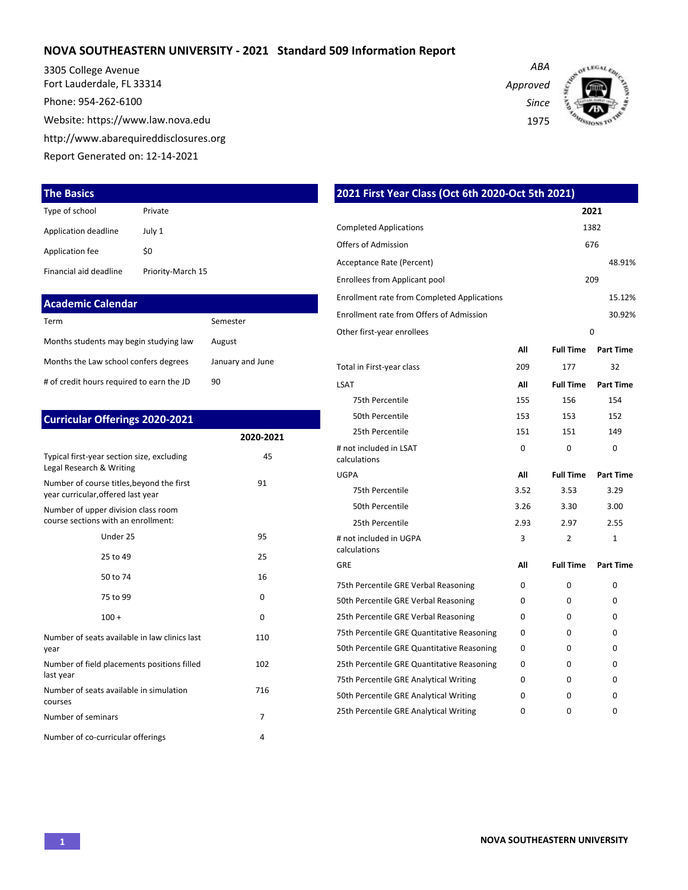### **NOVA SOUTHEASTERN UNIVERSITY - 2021 Standard 509 Information Report**

3305 College Avenue Fort Lauderdale, FL 33314 Phone: 954-262-6100

Website: https://www.law.nova.edu

http://www.abarequireddisclosures.org

Report Generated on: 12-14-2021

#### **The Basics**

| Type of school         | Private           |
|------------------------|-------------------|
| Application deadline   | July 1            |
| Application fee        | \$0               |
| Financial aid deadline | Priority-March 15 |

| <b>Academic Calendar</b>                  |                  |
|-------------------------------------------|------------------|
| Term                                      | Semester         |
| Months students may begin studying law    | August           |
| Months the Law school confers degrees     | January and June |
| # of credit hours required to earn the JD | 90               |

| <b>Curricular Offerings 2020-2021</b>                                           |                |
|---------------------------------------------------------------------------------|----------------|
|                                                                                 | 2020-2021      |
| Typical first-year section size, excluding<br>Legal Research & Writing          | 45             |
| Number of course titles, beyond the first<br>year curricular, offered last year | 91             |
| Number of upper division class room<br>course sections with an enrollment:      |                |
| Under 25                                                                        | 95             |
| 25 to 49                                                                        | 25             |
| 50 to 74                                                                        | 16             |
| 75 to 99                                                                        | 0              |
| $100 +$                                                                         | $\Omega$       |
| Number of seats available in law clinics last<br>year                           | 110            |
| Number of field placements positions filled<br>last year                        | 102            |
| Number of seats available in simulation<br>courses                              | 716            |
| Number of seminars                                                              | $\overline{7}$ |
| Number of co-curricular offerings                                               | 4              |

| 2021 First Year Class (Oct 6th 2020-Oct 5th 2021)  |          |                  |                  |
|----------------------------------------------------|----------|------------------|------------------|
|                                                    |          |                  | 2021             |
| <b>Completed Applications</b>                      |          |                  | 1382             |
| <b>Offers of Admission</b>                         |          |                  | 676              |
| Acceptance Rate (Percent)                          |          |                  | 48.91%           |
| Enrollees from Applicant pool                      |          |                  | 209              |
| <b>Enrollment rate from Completed Applications</b> |          |                  | 15.12%           |
| Enrollment rate from Offers of Admission           |          |                  | 30.92%           |
| Other first-year enrollees                         |          |                  | 0                |
|                                                    | All      | <b>Full Time</b> | <b>Part Time</b> |
| Total in First-year class                          | 209      | 177              | 32               |
| LSAT                                               | All      | <b>Full Time</b> | <b>Part Time</b> |
| 75th Percentile                                    | 155      | 156              | 154              |
| 50th Percentile                                    | 153      | 153              | 152              |
| 25th Percentile                                    | 151      | 151              | 149              |
| # not included in LSAT<br>calculations             | $\Omega$ | $\Omega$         | 0                |
| UGPA                                               | All      | <b>Full Time</b> | <b>Part Time</b> |
| 75th Percentile                                    | 3.52     | 3.53             | 3.29             |
| 50th Percentile                                    | 3.26     | 3.30             | 3.00             |
| 25th Percentile                                    | 2.93     | 2.97             | 2.55             |
| # not included in UGPA                             | 3        | 2                | $\mathbf{1}$     |
| calculations<br>GRE                                | Αll      | <b>Full Time</b> | <b>Part Time</b> |
| 75th Percentile GRE Verbal Reasoning               | 0        | 0                | 0                |
| 50th Percentile GRE Verbal Reasoning               | 0        | 0                | 0                |
| 25th Percentile GRE Verbal Reasoning               | $\Omega$ | $\Omega$         | 0                |
| 75th Percentile GRE Quantitative Reasoning         | 0        | 0                | 0                |
| 50th Percentile GRE Quantitative Reasoning         | 0        | 0                | 0                |
| 25th Percentile GRE Quantitative Reasoning         | 0        | 0                | 0                |
| 75th Percentile GRE Analytical Writing             | 0        | 0                | 0                |
| 50th Percentile GRE Analytical Writing             | 0        | 0                | 0                |
|                                                    |          |                  |                  |

25th Percentile GRE Analytical Writing  $0$  0 0 0 0

*Approved Since*

*ABA*

1975

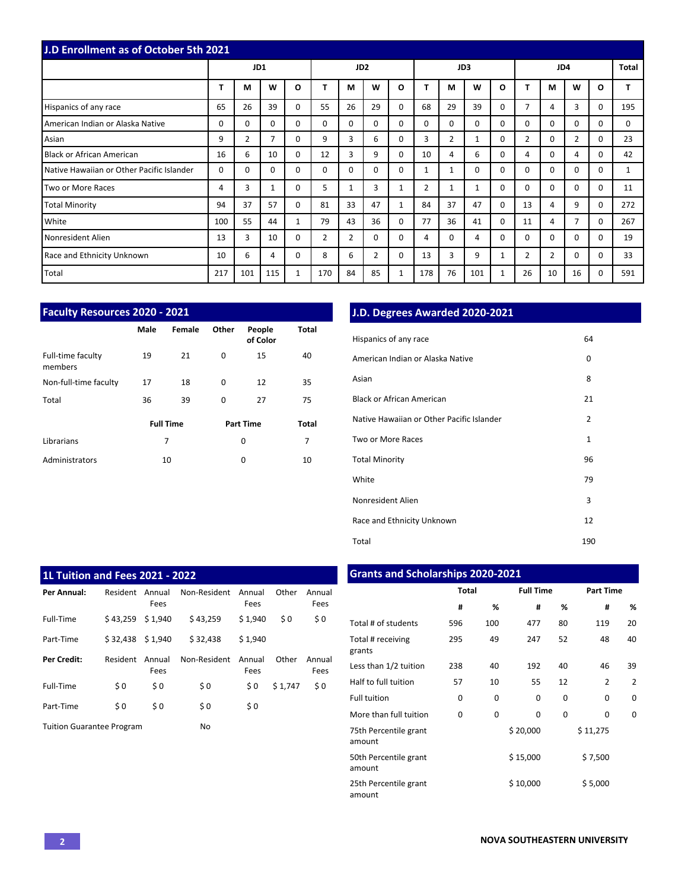| <b>J.D Enrollment as of October 5th 2021</b> |          |                |                |              |                |                 |                |          |                |                |             |          |                |                |                |          |              |
|----------------------------------------------|----------|----------------|----------------|--------------|----------------|-----------------|----------------|----------|----------------|----------------|-------------|----------|----------------|----------------|----------------|----------|--------------|
|                                              |          | JD1            |                |              |                | JD <sub>2</sub> |                |          |                |                | JD3         |          |                |                | JD4            |          | <b>Total</b> |
|                                              | т        | M              | W              | $\mathbf{o}$ |                | M               | W              | O        |                | М              | W           | $\Omega$ | т              | M              | W              | $\Omega$ |              |
| Hispanics of any race                        | 65       | 26             | 39             | 0            | 55             | 26              | 29             | $\Omega$ | 68             | 29             | 39          | $\Omega$ | $\overline{7}$ | 4              | 3              | $\Omega$ | 195          |
| American Indian or Alaska Native             | $\Omega$ | $\Omega$       | $\Omega$       | $\Omega$     | $\Omega$       | $\Omega$        | $\Omega$       | $\Omega$ | $\Omega$       | 0              | $\Omega$    | $\Omega$ | $\Omega$       | $\Omega$       | $\Omega$       | $\Omega$ | $\Omega$     |
| Asian                                        | 9        | $\overline{2}$ | $\overline{7}$ | 0            | 9              | 3               | 6              | $\Omega$ | 3              | $\overline{2}$ | 1           | $\Omega$ | $\overline{2}$ | $\Omega$       | $\overline{2}$ | $\Omega$ | 23           |
| <b>Black or African American</b>             | 16       | 6              | 10             | 0            | 12             | 3               | 9              | $\Omega$ | 10             | 4              | 6           | $\Omega$ | 4              | $\Omega$       | 4              | $\Omega$ | 42           |
| Native Hawaiian or Other Pacific Islander    | 0        | $\Omega$       | $\Omega$       | 0            | $\Omega$       | $\Omega$        | $\Omega$       | $\Omega$ | 1              | 1              | $\mathbf 0$ | $\Omega$ | $\Omega$       | $\Omega$       | $\Omega$       | $\Omega$ | 1            |
| Two or More Races                            | 4        | 3              | 1              | 0            | 5              | $\mathbf{1}$    | 3              |          | $\overline{2}$ |                | 1           | 0        | $\Omega$       | $\Omega$       | $\Omega$       | $\Omega$ | 11           |
| <b>Total Minority</b>                        | 94       | 37             | 57             | $\Omega$     | 81             | 33              | 47             | 1        | 84             | 37             | 47          | $\Omega$ | 13             | 4              | 9              | $\Omega$ | 272          |
| White                                        | 100      | 55             | 44             | 1            | 79             | 43              | 36             | $\Omega$ | 77             | 36             | 41          | $\Omega$ | 11             | 4              | 7              | $\Omega$ | 267          |
| Nonresident Alien                            | 13       | 3              | 10             | 0            | $\overline{2}$ | $\overline{2}$  | $\Omega$       | $\Omega$ | 4              | 0              | 4           | $\Omega$ | $\Omega$       | $\Omega$       | $\Omega$       | $\Omega$ | 19           |
| Race and Ethnicity Unknown                   | 10       | 6              | 4              | 0            | 8              | 6               | $\overline{2}$ | 0        | 13             | 3              | 9           | 1        | $\overline{2}$ | $\overline{2}$ | $\Omega$       | $\Omega$ | 33           |
| Total                                        | 217      | 101            | 115            | 1            | 170            | 84              | 85             | 1        | 178            | 76             | 101         | 1        | 26             | 10             | 16             | $\Omega$ | 591          |

| <b>Faculty Resources 2020 - 2021</b> |                  |        |       |                    |       |  |  |  |  |  |  |  |  |  |
|--------------------------------------|------------------|--------|-------|--------------------|-------|--|--|--|--|--|--|--|--|--|
|                                      | Male             | Female | Other | People<br>of Color | Total |  |  |  |  |  |  |  |  |  |
| Full-time faculty<br>members         | 19               | 21     | 0     | 15                 | 40    |  |  |  |  |  |  |  |  |  |
| Non-full-time faculty                | 17               | 18     | 0     | 12                 | 35    |  |  |  |  |  |  |  |  |  |
| Total                                | 36               | 39     | 0     | 27                 | 75    |  |  |  |  |  |  |  |  |  |
|                                      | <b>Full Time</b> |        |       | <b>Part Time</b>   | Total |  |  |  |  |  |  |  |  |  |
| Librarians                           |                  | 7      |       | 0                  | 7     |  |  |  |  |  |  |  |  |  |
| Administrators                       |                  | 10     |       | 0                  | 10    |  |  |  |  |  |  |  |  |  |

# **J.D. Degrees Awarded 2020-2021**

| Hispanics of any race                     | 64             |
|-------------------------------------------|----------------|
| American Indian or Alaska Native          | 0              |
| Asian                                     | 8              |
| Black or African American                 | 21             |
| Native Hawaiian or Other Pacific Islander | $\overline{2}$ |
| Two or More Races                         | 1              |
| <b>Total Minority</b>                     | 96             |
| White                                     | 79             |
| Nonresident Alien                         | 3              |
| Race and Ethnicity Unknown                | 12             |
| Total                                     | 190            |

| <b>1L Tuition and Fees 2021 - 2022</b> |                 |                |              |                |         |                |
|----------------------------------------|-----------------|----------------|--------------|----------------|---------|----------------|
| Per Annual:                            | <b>Resident</b> | Annual<br>Fees | Non-Resident | Annual<br>Fees | Other   | Annual<br>Fees |
| Full-Time                              | \$43.259        | \$1.940        | \$43.259     | \$1.940        | \$0     | \$0            |
| Part-Time                              | \$32,438        | \$ 1.940       | \$32.438     | \$1.940        |         |                |
| Per Credit:                            | Resident        | Annual<br>Fees | Non-Resident | Annual<br>Fees | Other   | Annual<br>Fees |
| Full-Time                              | \$0             | \$0            | \$0          | \$0            | \$1.747 | \$0            |
| Part-Time                              | \$0             | \$0            | \$0          | \$0            |         |                |
| <b>Tuition Guarantee Program</b>       |                 |                | No           |                |         |                |

## **Grants and Scholarships 2020-2021**

|                                 | <b>Total</b> |     | <b>Full Time</b> |    | <b>Part Time</b> |    |  |  |  |
|---------------------------------|--------------|-----|------------------|----|------------------|----|--|--|--|
|                                 | #            | %   | #                | ℅  | #                | ℅  |  |  |  |
| Total # of students             | 596          | 100 | 477              | 80 | 119              | 20 |  |  |  |
| Total # receiving<br>grants     | 295          | 49  | 247              | 52 | 48               | 40 |  |  |  |
| Less than 1/2 tuition           | 238          | 40  | 192              | 40 | 46               | 39 |  |  |  |
| Half to full tuition            | 57           | 10  | 55               | 12 | 2                | 2  |  |  |  |
| <b>Full tuition</b>             | 0            | 0   | 0                | 0  | $\Omega$         | 0  |  |  |  |
| More than full tuition          | 0            | 0   | 0                | 0  | 0                | 0  |  |  |  |
| 75th Percentile grant<br>amount |              |     | \$20,000         |    | \$11,275         |    |  |  |  |
| 50th Percentile grant<br>amount |              |     | \$15,000         |    | \$7,500          |    |  |  |  |
| 25th Percentile grant<br>amount |              |     | \$10,000         |    | \$5,000          |    |  |  |  |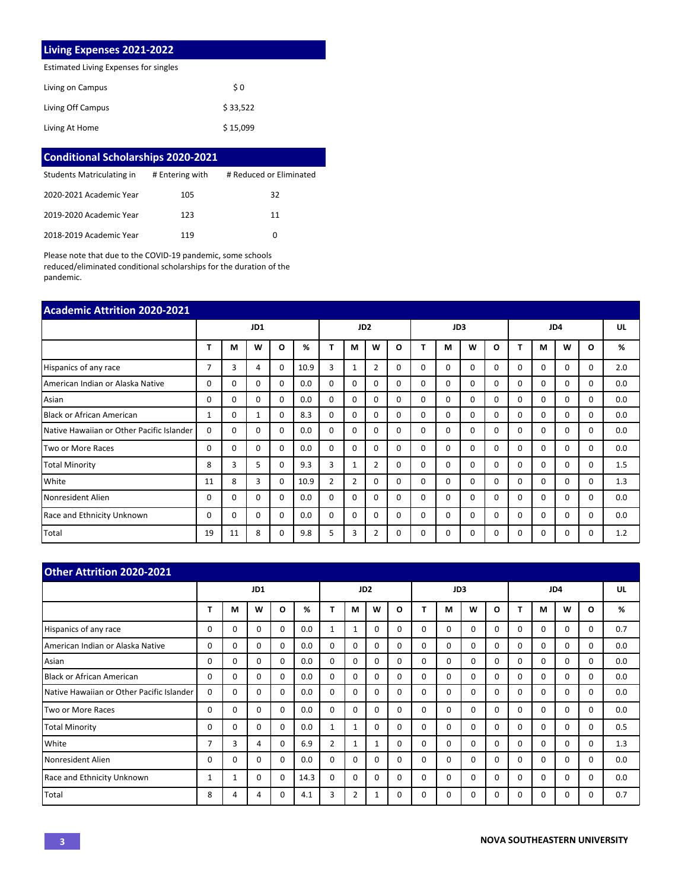### **Living Expenses 2021-2022**

Estimated Living Expenses for singles

| Living on Campus  | \$0      |
|-------------------|----------|
| Living Off Campus | \$33,522 |
| Living At Home    | \$15,099 |

| <b>Conditional Scholarships 2020-2021</b> |                 |                         |  |  |  |  |  |  |  |  |  |
|-------------------------------------------|-----------------|-------------------------|--|--|--|--|--|--|--|--|--|
| Students Matriculating in                 | # Entering with | # Reduced or Eliminated |  |  |  |  |  |  |  |  |  |
| 2020-2021 Academic Year                   | 105             | 32                      |  |  |  |  |  |  |  |  |  |
| 2019-2020 Academic Year                   | 123             | 11                      |  |  |  |  |  |  |  |  |  |
| 2018-2019 Academic Year                   | 119             | 0                       |  |  |  |  |  |  |  |  |  |

Please note that due to the COVID-19 pandemic, some schools reduced/eliminated conditional scholarships for the duration of the pandemic.

| <b>Academic Attrition 2020-2021</b>       |    |     |              |          |      |                 |                |                |              |          |          |          |          |          |          |          |          |     |
|-------------------------------------------|----|-----|--------------|----------|------|-----------------|----------------|----------------|--------------|----------|----------|----------|----------|----------|----------|----------|----------|-----|
|                                           |    | JD1 |              |          |      | JD <sub>2</sub> |                |                | JD3          |          |          |          | JD4      |          |          |          | UL       |     |
|                                           | т  | М   | W            | O        | %    | T               | м              | W              | O            |          | М        | w        | O        |          | M        | W        | O        | %   |
| Hispanics of any race                     | 7  | 3   | 4            | $\Omega$ | 10.9 | 3               | 1              | $\overline{2}$ | 0            | $\Omega$ | $\Omega$ | $\Omega$ | $\Omega$ | $\Omega$ | $\Omega$ | $\Omega$ | $\Omega$ | 2.0 |
| American Indian or Alaska Native          | 0  | 0   | 0            | $\Omega$ | 0.0  | $\Omega$        | 0              | $\Omega$       | 0            | $\Omega$ | $\Omega$ | $\Omega$ | $\Omega$ | $\Omega$ | $\Omega$ | $\Omega$ | $\Omega$ | 0.0 |
| Asian                                     | 0  | 0   | 0            | $\Omega$ | 0.0  | $\Omega$        | 0              | $\Omega$       | $\Omega$     | $\Omega$ | $\Omega$ | $\Omega$ | $\Omega$ | $\Omega$ | $\Omega$ | $\Omega$ | $\Omega$ | 0.0 |
| <b>Black or African American</b>          |    | 0   |              | 0        | 8.3  | $\Omega$        | 0              | $\Omega$       | 0            | $\Omega$ | $\Omega$ | $\Omega$ | $\Omega$ | $\Omega$ | $\Omega$ | $\Omega$ | $\Omega$ | 0.0 |
| Native Hawaiian or Other Pacific Islander | 0  | 0   | 0            | 0        | 0.0  | 0               | 0              | $\Omega$       | 0            | $\Omega$ | $\Omega$ | $\Omega$ | $\Omega$ | $\Omega$ | $\Omega$ | $\Omega$ | $\Omega$ | 0.0 |
| Two or More Races                         | 0  | 0   | <sup>0</sup> | $\Omega$ | 0.0  | $\Omega$        | 0              | $\Omega$       | <sup>0</sup> | $\Omega$ | $\Omega$ | $\Omega$ | $\Omega$ | $\Omega$ | $\Omega$ | $\Omega$ | $\Omega$ | 0.0 |
| <b>Total Minority</b>                     | 8  | 3   | 5            | 0        | 9.3  | 3               | 1              | $\overline{2}$ | $\Omega$     | $\Omega$ | $\Omega$ | 0        | $\Omega$ | $\Omega$ | $\Omega$ | $\Omega$ | $\Omega$ | 1.5 |
| White                                     | 11 | 8   | 3            | 0        | 10.9 | $\overline{2}$  | $\overline{2}$ | $\Omega$       | 0            | 0        | 0        | 0        | $\Omega$ | $\Omega$ | 0        | $\Omega$ | $\Omega$ | 1.3 |
| Nonresident Alien                         | 0  | 0   | 0            | $\Omega$ | 0.0  | $\Omega$        | 0              | $\Omega$       | <sup>0</sup> | $\Omega$ | $\Omega$ | $\Omega$ | $\Omega$ | $\Omega$ | $\Omega$ | $\Omega$ | $\Omega$ | 0.0 |
| Race and Ethnicity Unknown                | O  | 0   | $\Omega$     | $\Omega$ | 0.0  | $\Omega$        | 0              | $\Omega$       | $\Omega$     | $\Omega$ | $\Omega$ | $\Omega$ | $\Omega$ | $\Omega$ | $\Omega$ | $\Omega$ | $\Omega$ | 0.0 |
| Total                                     | 19 | 11  | 8            | 0        | 9.8  | 5               | 3              | 2              | 0            | 0        | 0        | $\Omega$ | $\Omega$ | $\Omega$ | 0        | 0        | 0        | 1.2 |

| <b>Other Attrition 2020-2021</b>          |          |          |          |          |                 |                |              |          |          |          |          |          |          |          |          |              |              |     |
|-------------------------------------------|----------|----------|----------|----------|-----------------|----------------|--------------|----------|----------|----------|----------|----------|----------|----------|----------|--------------|--------------|-----|
|                                           | JD1      |          |          |          | JD <sub>2</sub> |                |              |          | JD3      |          |          |          | JD4      |          |          |              | UL           |     |
|                                           | Т        | M        | W        | O        | %               | T              | M            | W        | O        |          | М        | W        | $\Omega$ |          | M        | W            | O            | %   |
| Hispanics of any race                     | 0        | 0        | 0        | $\Omega$ | 0.0             | 1              | 1            | $\Omega$ | $\Omega$ | $\Omega$ | $\Omega$ | 0        | $\Omega$ | $\Omega$ | $\Omega$ | $\Omega$     | 0            | 0.7 |
| American Indian or Alaska Native          | $\Omega$ | 0        | 0        | $\Omega$ | 0.0             | $\Omega$       | $\Omega$     | $\Omega$ | $\Omega$ | $\Omega$ | $\Omega$ | 0        | $\Omega$ | $\Omega$ | $\Omega$ | $\Omega$     | 0            | 0.0 |
| Asian                                     | 0        | $\Omega$ | $\Omega$ | $\Omega$ | 0.0             | 0              | $\Omega$     | $\Omega$ | $\Omega$ | $\Omega$ | $\Omega$ | 0        | $\Omega$ | $\Omega$ | $\Omega$ | $\Omega$     | 0            | 0.0 |
| Black or African American                 | 0        | $\Omega$ | 0        | 0        | 0.0             | $\Omega$       | $\Omega$     | $\Omega$ | $\Omega$ | $\Omega$ | 0        | 0        | $\Omega$ | $\Omega$ | $\Omega$ | 0            | 0            | 0.0 |
| Native Hawaiian or Other Pacific Islander | 0        | 0        | 0        | 0        | 0.0             | 0              | 0            | $\Omega$ | 0        | $\Omega$ | 0        | 0        | $\Omega$ | $\Omega$ | 0        | 0            | 0            | 0.0 |
| Two or More Races                         | 0        | 0        | 0        | $\Omega$ | 0.0             | 0              | $\Omega$     | $\Omega$ | $\Omega$ | $\Omega$ | $\Omega$ | 0        | $\Omega$ | $\Omega$ | $\Omega$ | $\Omega$     | $\Omega$     | 0.0 |
| <b>Total Minority</b>                     | $\Omega$ | 0        | 0        | $\Omega$ | 0.0             | 1              | $\mathbf{1}$ | $\Omega$ | $\Omega$ | $\Omega$ | $\Omega$ | 0        | $\Omega$ | $\Omega$ | $\Omega$ | 0            | <sup>0</sup> | 0.5 |
| White                                     | 7        | 3        | 4        | 0        | 6.9             | $\overline{2}$ | $\mathbf{1}$ | 1        | 0        | 0        | $\Omega$ | 0        | $\Omega$ | 0        | 0        | $\Omega$     | 0            | 1.3 |
| Nonresident Alien                         | 0        | $\Omega$ | $\Omega$ | $\Omega$ | 0.0             | $\Omega$       | $\Omega$     | $\Omega$ | $\Omega$ | $\Omega$ | 0        | 0        | 0        | $\Omega$ | $\Omega$ | <sup>0</sup> | <sup>0</sup> | 0.0 |
| Race and Ethnicity Unknown                | 1        | 1        | 0        | $\Omega$ | 14.3            | $\Omega$       | $\Omega$     | $\Omega$ | $\Omega$ | $\Omega$ | $\Omega$ | $\Omega$ | $\Omega$ | $\Omega$ | $\Omega$ | $\Omega$     | $\Omega$     | 0.0 |
| Total                                     | 8        | 4        | 4        | $\Omega$ | 4.1             | 3              | 2            |          | $\Omega$ | $\Omega$ | O        | O        | $\Omega$ | $\Omega$ | $\Omega$ | $\Omega$     | O            | 0.7 |